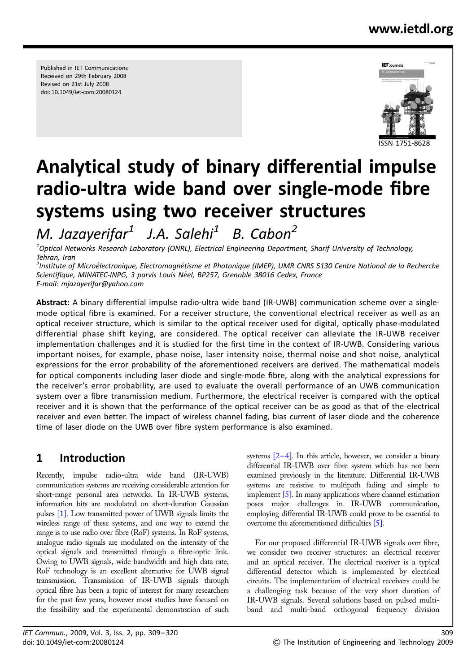Published in IET Communications Received on 29th February 2008 Revised on 21st July 2008 doi: 10.1049/iet-com:20080124



# Analytical study of binary differential impulse radio-ultra wide band over single-mode fibre systems using two receiver structures

M. Jazayerifar<sup>1</sup> J.A. Salehi<sup>1</sup> B. Cabon<sup>2</sup>

 $^{\rm 1}$ Optical Networks Research Laboratory (ONRL), Electrical Engineering Department, Sharif University of Technology, Tehran, Iran

<sup>2</sup>Institute of Microélectronique, Electromagnétisme et Photonique (IMEP), UMR CNRS 5130 Centre National de la Recherche Scientifique, MINATEC-INPG, 3 parvis Louis Néel, BP257, Grenoble 38016 Cedex, France E-mail: mjazayerifar@yahoo.com

Abstract: A binary differential impulse radio-ultra wide band (IR-UWB) communication scheme over a singlemode optical fibre is examined. For a receiver structure, the conventional electrical receiver as well as an optical receiver structure, which is similar to the optical receiver used for digital, optically phase-modulated differential phase shift keying, are considered. The optical receiver can alleviate the IR-UWB receiver implementation challenges and it is studied for the first time in the context of IR-UWB. Considering various important noises, for example, phase noise, laser intensity noise, thermal noise and shot noise, analytical expressions for the error probability of the aforementioned receivers are derived. The mathematical models for optical components including laser diode and single-mode fibre, along with the analytical expressions for the receiver's error probability, are used to evaluate the overall performance of an UWB communication system over a fibre transmission medium. Furthermore, the electrical receiver is compared with the optical receiver and it is shown that the performance of the optical receiver can be as good as that of the electrical receiver and even better. The impact of wireless channel fading, bias current of laser diode and the coherence time of laser diode on the UWB over fibre system performance is also examined.

# 1 Introduction

Recently, impulse radio-ultra wide band (IR-UWB) communication systems are receiving considerable attention for short-range personal area networks. In IR-UWB systems, information bits are modulated on short-duration Gaussian pulses [1]. Low transmitted power of UWB signals limits the wireless range of these systems, and one way to extend the range is to use radio over fibre (RoF) systems. In RoF systems, analogue radio signals are modulated on the intensity of the optical signals and transmitted through a fibre-optic link. Owing to UWB signals, wide bandwidth and high data rate, RoF technology is an excellent alternative for UWB signal transmission. Transmission of IR-UWB signals through optical fibre has been a topic of interest for many researchers for the past few years, however most studies have focused on the feasibility and the experimental demonstration of such

systems  $[2-4]$ . In this article, however, we consider a binary differential IR-UWB over fibre system which has not been examined previously in the literature. Differential IR-UWB systems are resistive to multipath fading and simple to implement [5]. In many applications where channel estimation poses major challenges in IR-UWB communication, employing differential IR-UWB could prove to be essential to overcome the aforementioned difficulties [5].

For our proposed differential IR-UWB signals over fibre, we consider two receiver structures: an electrical receiver and an optical receiver. The electrical receiver is a typical differential detector which is implemented by electrical circuits. The implementation of electrical receivers could be a challenging task because of the very short duration of IR-UWB signals. Several solutions based on pulsed multiband and multi-band orthogonal frequency division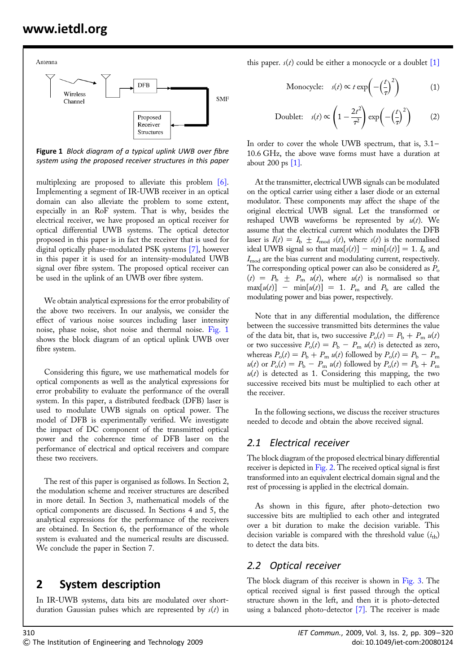

Figure 1 Block diagram of a typical uplink UWB over fibre system using the proposed receiver structures in this paper

multiplexing are proposed to alleviate this problem [6]. Implementing a segment of IR-UWB receiver in an optical domain can also alleviate the problem to some extent, especially in an RoF system. That is why, besides the electrical receiver, we have proposed an optical receiver for optical differential UWB systems. The optical detector proposed in this paper is in fact the receiver that is used for digital optically phase-modulated PSK systems [7], however in this paper it is used for an intensity-modulated UWB signal over fibre system. The proposed optical receiver can be used in the uplink of an UWB over fibre system.

We obtain analytical expressions for the error probability of the above two receivers. In our analysis, we consider the effect of various noise sources including laser intensity noise, phase noise, shot noise and thermal noise. Fig. 1 shows the block diagram of an optical uplink UWB over fibre system.

Considering this figure, we use mathematical models for optical components as well as the analytical expressions for error probability to evaluate the performance of the overall system. In this paper, a distributed feedback (DFB) laser is used to modulate UWB signals on optical power. The model of DFB is experimentally verified. We investigate the impact of DC component of the transmitted optical power and the coherence time of DFB laser on the performance of electrical and optical receivers and compare these two receivers.

The rest of this paper is organised as follows. In Section 2, the modulation scheme and receiver structures are described in more detail. In Section 3, mathematical models of the optical components are discussed. In Sections 4 and 5, the analytical expressions for the performance of the receivers are obtained. In Section 6, the performance of the whole system is evaluated and the numerical results are discussed. We conclude the paper in Section 7.

## 2 System description

In IR-UWB systems, data bits are modulated over shortduration Gaussian pulses which are represented by  $s(t)$  in this paper.  $s(t)$  could be either a monocycle or a doublet [1]

Monocycle: 
$$
s(t) \propto t \exp\left(-\left(\frac{t}{\tau}\right)^2\right)
$$
 (1)

Doublet: 
$$
s(t) \propto \left(1 - \frac{2t^2}{\tau^2}\right) \exp\left(-\left(\frac{t}{\tau}\right)^2\right)
$$
 (2)

In order to cover the whole UWB spectrum, that is, 3.1– 10.6 GHz, the above wave forms must have a duration at about 200 ps [1].

At the transmitter, electrical UWB signals can be modulated on the optical carrier using either a laser diode or an external modulator. These components may affect the shape of the original electrical UWB signal. Let the transformed or reshaped UWB waveforms be represented by  $u(t)$ . We assume that the electrical current which modulates the DFB laser is  $I(t) = I_{\text{b}} \pm I_{\text{mod}} s(t)$ , where  $s(t)$  is the normalised ideal UWB signal so that  $\max[s(t)] - \min[s(t)] = 1$ .  $I<sub>b</sub>$  and  $I_{\text{mod}}$  are the bias current and modulating current, respectively. The corresponding optical power can also be considered as  $P_{\rm o}$  $(t) = P_b \pm P_m$   $u(t)$ , where  $u(t)$  is normalised so that  $max[u(t)] - min[u(t)] = 1$ .  $P_m$  and  $P_b$  are called the modulating power and bias power, respectively.

Note that in any differential modulation, the difference between the successive transmitted bits determines the value of the data bit, that is, two successive  $P_0(t) = P_b + P_m u(t)$ or two successive  $P_0(t) = P_b - P_m u(t)$  is detected as zero, whereas  $P_o(t) = P_b + P_m u(t)$  followed by  $P_o(t) = P_b - P_m$  $u(t)$  or  $P_0(t) = P_b - P_m u(t)$  followed by  $P_0(t) = P_b + P_m$  $u(t)$  is detected as 1. Considering this mapping, the two successive received bits must be multiplied to each other at the receiver.

In the following sections, we discuss the receiver structures needed to decode and obtain the above received signal.

#### 2.1 Electrical receiver

The block diagram of the proposed electrical binary differential receiver is depicted in Fig. 2. The received optical signal is first transformed into an equivalent electrical domain signal and the rest of processing is applied in the electrical domain.

As shown in this figure, after photo-detection two successive bits are multiplied to each other and integrated over a bit duration to make the decision variable. This decision variable is compared with the threshold value  $(i_{th})$ to detect the data bits.

#### 2.2 Optical receiver

The block diagram of this receiver is shown in Fig. 3. The optical received signal is first passed through the optical structure shown in the left, and then it is photo-detected using a balanced photo-detector [7]. The receiver is made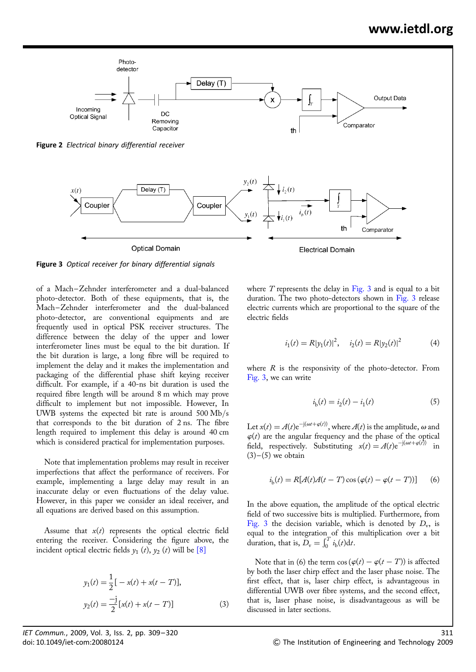

Figure 3 Optical receiver for binary differential signals

**Optical Domain** 

of a Mach–Zehnder interferometer and a dual-balanced photo-detector. Both of these equipments, that is, the Mach–Zehnder interferometer and the dual-balanced photo-detector, are conventional equipments and are frequently used in optical PSK receiver structures. The difference between the delay of the upper and lower interferometer lines must be equal to the bit duration. If the bit duration is large, a long fibre will be required to implement the delay and it makes the implementation and packaging of the differential phase shift keying receiver difficult. For example, if a 40-ns bit duration is used the required fibre length will be around 8 m which may prove difficult to implement but not impossible. However, In UWB systems the expected bit rate is around 500 Mb/s that corresponds to the bit duration of 2 ns. The fibre length required to implement this delay is around 40 cm which is considered practical for implementation purposes.

Note that implementation problems may result in receiver imperfections that affect the performance of receivers. For example, implementing a large delay may result in an inaccurate delay or even fluctuations of the delay value. However, in this paper we consider an ideal receiver, and all equations are derived based on this assumption.

Assume that  $x(t)$  represents the optical electric field entering the receiver. Considering the figure above, the incident optical electric fields  $y_1(t)$ ,  $y_2(t)$  will be [8]

$$
y_1(t) = \frac{1}{2}[-x(t) + x(t - T)],
$$
  

$$
y_2(t) = \frac{-j}{2}[x(t) + x(t - T)]
$$
 (3)

where  $T$  represents the delay in Fig. 3 and is equal to a bit duration. The two photo-detectors shown in Fig. 3 release electric currents which are proportional to the square of the electric fields

**Electrical Domain** 

$$
i_1(t) = R|y_1(t)|^2
$$
,  $i_2(t) = R|y_2(t)|^2$  (4)

where  $R$  is the responsivity of the photo-detector. From Fig. 3, we can write

$$
i_{\rm b}(t) = i_2(t) - i_1(t) \tag{5}
$$

Let  $x(t) = A(t)e^{-j(\omega t + \varphi(t))}$ , where  $A(t)$  is the amplitude,  $\omega$  and  $\varphi(t)$  are the angular frequency and the phase of the optical field, respectively. Substituting  $x(t) = A(t)e^{-j(\omega t + \varphi(t))}$  in  $(3)$ – $(5)$  we obtain

$$
ib(t) = R[A(t)A(t - T)\cos(\varphi(t) - \varphi(t - T))]
$$
 (6)

In the above equation, the amplitude of the optical electric field of two successive bits is multiplied. Furthermore, from Fig. 3 the decision variable, which is denoted by  $D_v$ , is equal to the integration of this multiplication over a bit duration, that is,  $D_v = \int_0^T i_b(t) dt$ .

Note that in (6) the term  $cos(\varphi(t) - \varphi(t - T))$  is affected by both the laser chirp effect and the laser phase noise. The first effect, that is, laser chirp effect, is advantageous in differential UWB over fibre systems, and the second effect, that is, laser phase noise, is disadvantageous as will be discussed in later sections.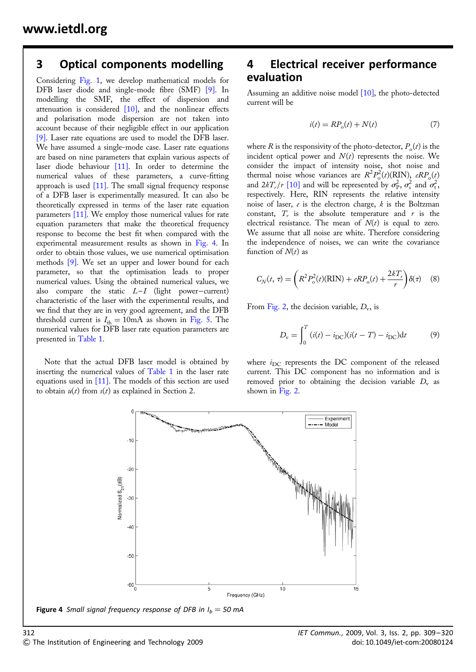#### 3 Optical components modelling

Considering Fig. 1, we develop mathematical models for DFB laser diode and single-mode fibre (SMF) [9]. In modelling the SMF, the effect of dispersion and attenuation is considered  $[10]$ , and the nonlinear effects and polarisation mode dispersion are not taken into account because of their negligible effect in our application [9]. Laser rate equations are used to model the DFB laser. We have assumed a single-mode case. Laser rate equations are based on nine parameters that explain various aspects of laser diode behaviour [11]. In order to determine the numerical values of these parameters, a curve-fitting approach is used [11]. The small signal frequency response of a DFB laser is experimentally measured. It can also be theoretically expressed in terms of the laser rate equation parameters [11]. We employ those numerical values for rate equation parameters that make the theoretical frequency response to become the best fit when compared with the experimental measurement results as shown in Fig. 4. In order to obtain those values, we use numerical optimisation methods [9]. We set an upper and lower bound for each parameter, so that the optimisation leads to proper numerical values. Using the obtained numerical values, we also compare the static  $L-I$  (light power-current) characteristic of the laser with the experimental results, and we find that they are in very good agreement, and the DFB threshold current is  $I_{\text{th}} = 10 \text{mA}$  as shown in Fig. 5. The numerical values for DFB laser rate equation parameters are presented in Table 1.

Note that the actual DFB laser model is obtained by inserting the numerical values of Table 1 in the laser rate equations used in [11]. The models of this section are used to obtain  $u(t)$  from  $s(t)$  as explained in Section 2.

### 4 Electrical receiver performance evaluation

Assuming an additive noise model [10], the photo-detected current will be

$$
i(t) = RP_o(t) + N(t)
$$
\n<sup>(7)</sup>

where R is the responsivity of the photo-detector,  $P_{o}(t)$  is the incident optical power and  $N(t)$  represents the noise. We consider the impact of intensity noise, shot noise and thermal noise whose variances are  $R^2 P_o^2(t)$ (RIN), eRP<sub>o</sub>(t) and  $2kT_r/r$  [10] and will be represented by  $\sigma_{\rm P}^2$ ,  $\sigma_{\rm s}^2$  and  $\sigma_{\rm t}^2$ , respectively. Here, RIN represents the relative intensity noise of laser,  $e$  is the electron charge,  $k$  is the Boltzman constant,  $T_r$  is the absolute temperature and r is the electrical resistance. The mean of  $N(t)$  is equal to zero. We assume that all noise are white. Therefore considering the independence of noises, we can write the covariance function of  $N(t)$  as

$$
C_N(t, \tau) = \left( R^2 P_o^2(t)(\text{RIN}) + eRP_o(t) + \frac{2kT_r}{r} \right) \delta(\tau) \quad (8)
$$

From Fig. 2, the decision variable,  $D_v$ , is

$$
D_{\rm v} = \int_0^T (i(t) - i_{\rm DC})(i(t - T) - i_{\rm DC}) \mathrm{d}t \tag{9}
$$

where  $i_{\text{DC}}$  represents the DC component of the released current. This DC component has no information and is removed prior to obtaining the decision variable  $D_v$  as shown in Fig. 2.



Figure 4 Small signal frequency response of DFB in  $I_b = 50$  mA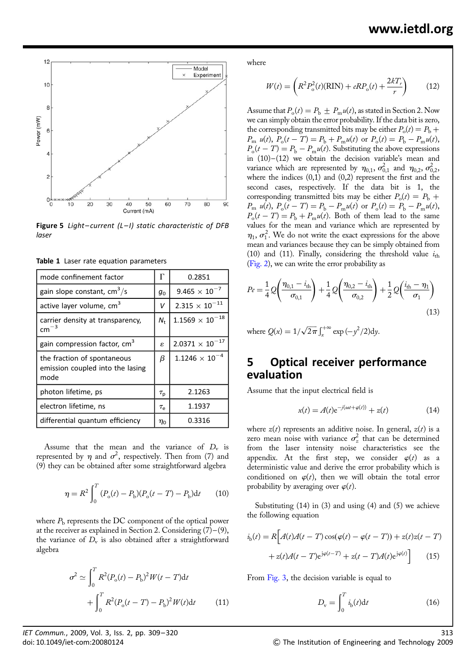

Figure 5 Light-current  $(L-l)$  static characteristic of DFB laser

| mode confinement factor                                                 | Г              | 0.2851                   |
|-------------------------------------------------------------------------|----------------|--------------------------|
| gain slope constant, $cm^3/s$                                           | $g_0$          | $9.465 \times 10^{-7}$   |
| active layer volume, cm <sup>3</sup>                                    | v              | $2.315 \times 10^{-11}$  |
| carrier density at transparency,<br>$cm^{-3}$                           | $N_{\rm t}$    | $1.1569 \times 10^{-18}$ |
| gain compression factor, cm <sup>3</sup>                                | ε              | $2.0371 \times 10^{-17}$ |
| the fraction of spontaneous<br>emission coupled into the lasing<br>mode | β              | $1.1246 \times 10^{-4}$  |
| photon lifetime, ps                                                     | $\tau_{\sf p}$ | 2.1263                   |
| electron lifetime, ns                                                   | $\tau_e$       | 1.1937                   |
| differential quantum efficiency                                         | $\eta_0$       | 0.3316                   |

Table 1 Laser rate equation parameters

Assume that the mean and the variance of  $D_v$  is represented by  $\eta$  and  $\sigma^2$ , respectively. Then from (7) and (9) they can be obtained after some straightforward algebra

$$
\eta = R^2 \int_0^T (P_o(t) - P_b)(P_o(t - T) - P_b)dt \qquad (10)
$$

where  $P_{\rm b}$  represents the DC component of the optical power at the receiver as explained in Section 2. Considering  $(7)$ – $(9)$ , the variance of  $D_v$  is also obtained after a straightforward algebra

$$
\sigma^2 \simeq \int_0^T R^2 (P_o(t) - P_b)^2 W(t - T) dt
$$

$$
+ \int_0^T R^2 (P_o(t - T) - P_b)^2 W(t) dt \qquad (11)
$$

where

$$
W(t) = \left( R^2 P_o^2(t)(\text{RIN}) + eRP_o(t) + \frac{2kT_r}{r} \right) \tag{12}
$$

Assume that  $P_0(t) = P_b + P_m u(t)$ , as stated in Section 2. Now we can simply obtain the error probability. If the data bit is zero, the corresponding transmitted bits may be either  $P_0(t) = P_b +$  $P_{\text{m}} u(t), P_{\text{o}}(t-T) = P_{\text{b}} + P_{\text{m}} u(t) \text{ or } P_{\text{o}}(t) = P_{\text{b}} - P_{\text{m}} u(t),$  $P_{o}(t - T) = P_{b} - P_{m}u(t)$ . Substituting the above expressions in  $(10)$ – $(12)$  we obtain the decision variable's mean and variance which are represented by  $\eta_{0,1}, \sigma_{0,1}^2$  and  $\eta_{0,2}, \sigma_{0,2}^2,$ where the indices  $(0,1)$  and  $(0,2)$  represent the first and the second cases, respectively. If the data bit is 1, the corresponding transmitted bits may be either  $P_0(t) = P_b +$  $P_{\text{m}} u(t)$ ,  $P_{\text{o}}(t - T) = P_{\text{b}} - P_{\text{m}} u(t)$  or  $P_{\text{o}}(t) = P_{\text{b}} - P_{\text{m}} u(t)$ ,  $P_o(t - T) = P_b + P_m u(t)$ . Both of them lead to the same values for the mean and variance which are represented by  $\eta_1$ ,  $\sigma_1^2$ . We do not write the exact expressions for the above mean and variances because they can be simply obtained from (10) and (11). Finally, considering the threshold value  $i_{\text{th}}$ (Fig. 2), we can write the error probability as

$$
Pe = \frac{1}{4} Q \left( \frac{\eta_{0,1} - i_{\text{th}}}{\sigma_{0,1}} \right) + \frac{1}{4} Q \left( \frac{\eta_{0,2} - i_{\text{th}}}{\sigma_{0,2}} \right) + \frac{1}{2} Q \left( \frac{i_{\text{th}} - \eta_1}{\sigma_1} \right)
$$
(13)

where  $Q(x) = 1/\sqrt{2\pi} \int_{x}^{+\infty} \exp(-y^2/2) dy$ .

## 5 Optical receiver performance evaluation

Assume that the input electrical field is

$$
x(t) = A(t)e^{-j(\omega t + \varphi(t))} + z(t)
$$
 (14)

where  $z(t)$  represents an additive noise. In general,  $z(t)$  is a zero mean noise with variance  $\sigma_z^2$  that can be determined from the laser intensity noise characteristics see the appendix. At the first step, we consider  $\varphi(t)$  as a deterministic value and derive the error probability which is conditioned on  $\varphi(t)$ , then we will obtain the total error probability by averaging over  $\varphi(t)$ .

Substituting  $(14)$  in  $(3)$  and using  $(4)$  and  $(5)$  we achieve the following equation

$$
i_{\mathbf{b}}(t) = R\Big[A(t)A(t-T)\cos(\varphi(t) - \varphi(t-T)) + z(t)z(t-T) + z(t)A(t-T)\mathrm{e}^{\mathrm{i}\varphi(t-T)} + z(t-T)A(t)\mathrm{e}^{\mathrm{i}\varphi(t)}\Big] \tag{15}
$$

From Fig. 3, the decision variable is equal to

$$
D_{\mathbf{v}} = \int_0^T i_{\mathbf{b}}(t) \mathrm{d}t \tag{16}
$$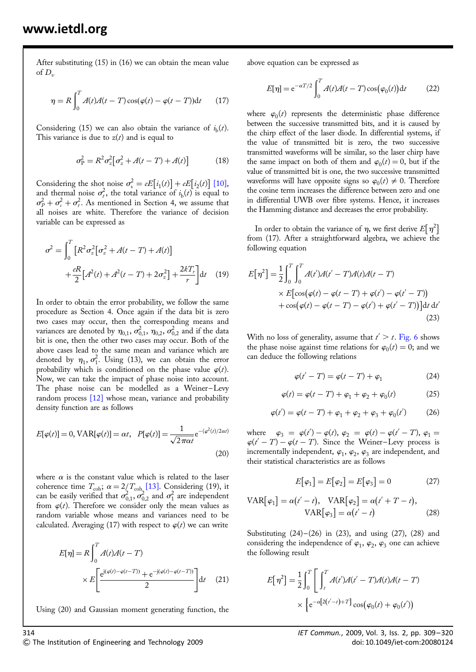After substituting (15) in (16) we can obtain the mean value of  $D_{\eta}$ 

$$
\eta = R \int_0^T A(t)A(t - T)\cos(\varphi(t) - \varphi(t - T))dt \qquad (17)
$$

Considering (15) we can also obtain the variance of  $i<sub>b</sub>(t)$ . This variance is due to  $z(t)$  and is equal to

$$
\sigma_{\rm P}^2 = R^2 \sigma_z^2 [\sigma_z^2 + A(t - T) + A(t)] \tag{18}
$$

Considering the shot noise  $\sigma_s^2 = eE[i_1(t)] + eE[i_2(t)]$  [10], and thermal noise  $\sigma_t^2$ , the total variance of  $i<sub>b</sub>(t)$  is equal to  $\sigma_P^2 + \sigma_s^2 + \sigma_t^2$ . As mentioned in Section 4, we assume that all noises are white. Therefore the variance of decision variable can be expressed as

$$
\sigma^{2} = \int_{0}^{T} \left[ R^{2} \sigma_{z}^{2} \left[ \sigma_{z}^{2} + A(t - T) + A(t) \right] + \frac{eR}{2} \left[ A^{2}(t) + A^{2}(t - T) + 2\sigma_{z}^{2} \right] + \frac{2kT_{r}}{r} \right] dt \quad (19)
$$

In order to obtain the error probability, we follow the same procedure as Section 4. Once again if the data bit is zero two cases may occur, then the corresponding means and variances are denoted by  $\eta_{0,1},$   $\sigma^2_{0,1},$   $\eta_{0,2},$   $\sigma^2_{0,2}$  and if the data bit is one, then the other two cases may occur. Both of the above cases lead to the same mean and variance which are denoted by  $\eta_1, \sigma_1^2$ . Using (13), we can obtain the error probability which is conditioned on the phase value  $\varphi(t)$ . Now, we can take the impact of phase noise into account. The phase noise can be modelled as a Weiner-Levy random process [12] whose mean, variance and probability density function are as follows

$$
E[\varphi(t)] = 0, \text{VAR}[\varphi(t)] = \alpha t, \quad P[\varphi(t)] = \frac{1}{\sqrt{2\pi\alpha t}} e^{-(\varphi^2(t)/2\alpha t)}
$$
\n(20)

where  $\alpha$  is the constant value which is related to the laser coherence time  $T_{coh}$ ;  $\alpha = 2/T_{coh}$  [13]. Considering (19), it can be easily verified that  $\sigma_{0,1}^2$ ,  $\sigma_{0,2}^2$  and  $\sigma_1^2$  are independent from  $\varphi(t)$ . Therefore we consider only the mean values as random variable whose means and variances need to be calculated. Averaging (17) with respect to  $\varphi(t)$  we can write

$$
E[\eta] = R \int_0^T A(t)A(t - T)
$$

$$
\times E\left[\frac{e^{j(\varphi(t) - \varphi(t - T))} + e^{-j(\varphi(t) - \varphi(t - T))}}{2}\right]dt \quad (21)
$$

Using (20) and Gaussian moment generating function, the

above equation can be expressed as

$$
E[\eta] = e^{-\alpha T/2} \int_0^T A(t)A(t-T)\cos(\varphi_0(t))dt \qquad (22)
$$

where  $\varphi_0(t)$  represents the deterministic phase difference between the successive transmitted bits, and it is caused by the chirp effect of the laser diode. In differential systems, if the value of transmitted bit is zero, the two successive transmitted waveforms will be similar, so the laser chirp have the same impact on both of them and  $\varphi_0(t) = 0$ , but if the value of transmitted bit is one, the two successive transmitted waveforms will have opposite signs so  $\varphi_0(t) \neq 0$ . Therefore the cosine term increases the difference between zero and one in differential UWB over fibre systems. Hence, it increases the Hamming distance and decreases the error probability.

In order to obtain the variance of  $\eta$ , we first derive  $E[\eta^2]$ from (17). After a straightforward algebra, we achieve the following equation

$$
E[\eta^2] = \frac{1}{2} \int_0^T \int_0^T A(t')A(t'-T)A(t)A(t-T)
$$
  
×  $E[\cos(\varphi(t) - \varphi(t-T) + \varphi(t') - \varphi(t'-T))$   
+  $\cos(\varphi(t) - \varphi(t-T) - \varphi(t') + \varphi(t'-T))]dt dt'$  (23)

With no loss of generality, assume that  $t' > t$ . Fig. 6 shows the phase noise against time relations for  $\varphi_0(t) = 0$ ; and we can deduce the following relations

$$
\varphi(t'-T) = \varphi(t-T) + \varphi_1 \tag{24}
$$

$$
\varphi(t) = \varphi(t - T) + \varphi_1 + \varphi_2 + \varphi_0(t) \tag{25}
$$

$$
\varphi(t') = \varphi(t - T) + \varphi_1 + \varphi_2 + \varphi_3 + \varphi_0(t')
$$
 (26)

where  $\varphi_3 = \varphi(t') - \varphi(t), \varphi_2 = \varphi(t) - \varphi(t' - T), \varphi_1 =$  $\varphi(t'-T) - \varphi(t-T)$ . Since the Weiner-Levy process is incrementally independent,  $\varphi_1$ ,  $\varphi_2$ ,  $\varphi_3$  are independent, and their statistical characteristics are as follows

$$
E[\varphi_1] = E[\varphi_2] = E[\varphi_3] = 0 \qquad (27)
$$

$$
VAR[\varphi_1] = \alpha(t'-t), \quad VAR[\varphi_2] = \alpha(t'+T-t),
$$
  

$$
VAR[\varphi_3] = \alpha(t'-t)
$$
 (28)

Substituting  $(24)$  –  $(26)$  in  $(23)$ , and using  $(27)$ ,  $(28)$  and considering the independence of  $\varphi_1$ ,  $\varphi_2$ ,  $\varphi_3$  one can achieve the following result

$$
E[\eta^2] = \frac{1}{2} \int_0^T \left[ \int_t^T A(t')A(t'-T)A(t)A(t-T')\right] \times \left\{ e^{-\alpha[2(t'-t)+T]} \cos(\varphi_0(t)+\varphi_0(t')) \right\}
$$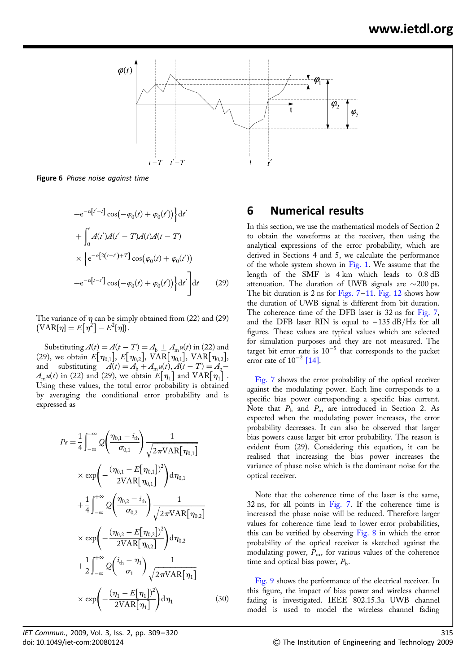

Figure 6 Phase noise against time

$$
+e^{-\alpha[t'-t]} \cos(-\varphi_0(t) + \varphi_0(t'))\, dt'
$$
  
+ 
$$
\int_0^t A(t')A(t'-T)A(t)A(t-T)
$$
  

$$
\times \left\{e^{-\alpha[2(t-t')+T]} \cos(\varphi_0(t) + \varphi_0(t'))\right\}
$$
  
+ 
$$
e^{-\alpha[t-t']} \cos(-\varphi_0(t) + \varphi_0(t'))\, dt'\, dt
$$
 (29)

The variance of  $\eta$  can be simply obtained from (22) and (29) The variance of  $\eta$  can be simply<br>(VAR[ $\eta$ ] =  $E[\eta^2] - E^2[\eta]$ ).

Substituting  $A(t) = A(t - T) = A_b \pm A_m u(t)$  in (22) and (29), we obtain  $E[\eta_{0,1}], E[\eta_{0,2}], \text{VAR}[\eta_{0,1}], \text{VAR}[\eta_{0,2}],$ and substituting  $A(t) = A_b + A_m u(t), A(t - T) = A_b$  $A_m u(t)$  in (22) and (29), we obtain  $E[\eta_1]$  and  $VAR[\eta_1]$ . Using these values, the total error probability is obtained by averaging the conditional error probability and is expressed as

$$
P_e = \frac{1}{4} \int_{-\infty}^{+\infty} Q\left(\frac{\eta_{0,1} - i_{\text{th}}}{\sigma_{0,1}}\right) \frac{1}{\sqrt{2\pi \text{VAR}[\eta_{0,1}]}}
$$
  
\n
$$
\times \exp\left(-\frac{(\eta_{0,1} - E[\eta_{0,1}])^2}{2 \text{VAR}[\eta_{0,1}]}\right) d\eta_{0,1}
$$
  
\n
$$
+ \frac{1}{4} \int_{-\infty}^{+\infty} Q\left(\frac{\eta_{0,2} - i_{\text{th}}}{\sigma_{0,2}}\right) \frac{1}{\sqrt{2\pi \text{VAR}[\eta_{0,2}]}}
$$
  
\n
$$
\times \exp\left(-\frac{(\eta_{0,2} - E[\eta_{0,2}])^2}{2 \text{VAR}[\eta_{0,2}]}\right) d\eta_{0,2}
$$
  
\n
$$
+ \frac{1}{2} \int_{-\infty}^{+\infty} Q\left(\frac{i_{\text{th}} - \eta_{1}}{\sigma_{1}}\right) \frac{1}{\sqrt{2\pi \text{VAR}[\eta_{1}]}}
$$
  
\n
$$
\times \exp\left(-\frac{(\eta_{1} - E[\eta_{1}])^2}{2 \text{VAR}[\eta_{1}]} \right) d\eta_{1}
$$
 (30)

#### 6 Numerical results

In this section, we use the mathematical models of Section 2 to obtain the waveforms at the receiver, then using the analytical expressions of the error probability, which are derived in Sections 4 and 5, we calculate the performance of the whole system shown in Fig. 1. We assume that the length of the SMF is 4 km which leads to 0.8 dB attenuation. The duration of UWB signals are  $\sim$ 200 ps. The bit duration is 2 ns for Figs. 7–11. Fig. 12 shows how the duration of UWB signal is different from bit duration. The coherence time of the DFB laser is 32 ns for Fig. 7, and the DFB laser RIN is equal to  $-135 \text{ dB/Hz}$  for all figures. These values are typical values which are selected for simulation purposes and they are not measured. The target bit error rate is  $10^{-5}$  that corresponds to the packet error rate of  $10^{-2}$  [14].

Fig. 7 shows the error probability of the optical receiver against the modulating power. Each line corresponds to a specific bias power corresponding a specific bias current. Note that  $P_{\rm b}$  and  $P_{\rm m}$  are introduced in Section 2. As expected when the modulating power increases, the error probability decreases. It can also be observed that larger bias powers cause larger bit error probability. The reason is evident from (29). Considering this equation, it can be realised that increasing the bias power increases the variance of phase noise which is the dominant noise for the optical receiver.

Note that the coherence time of the laser is the same, 32 ns, for all points in Fig. 7. If the coherence time is increased the phase noise will be reduced. Therefore larger values for coherence time lead to lower error probabilities, this can be verified by observing Fig. 8 in which the error probability of the optical receiver is sketched against the modulating power,  $P_{\text{m}}$ , for various values of the coherence time and optical bias power,  $P_{\rm b}$ .

Fig. 9 shows the performance of the electrical receiver. In this figure, the impact of bias power and wireless channel fading is investigated. IEEE 802.15.3a UWB channel model is used to model the wireless channel fading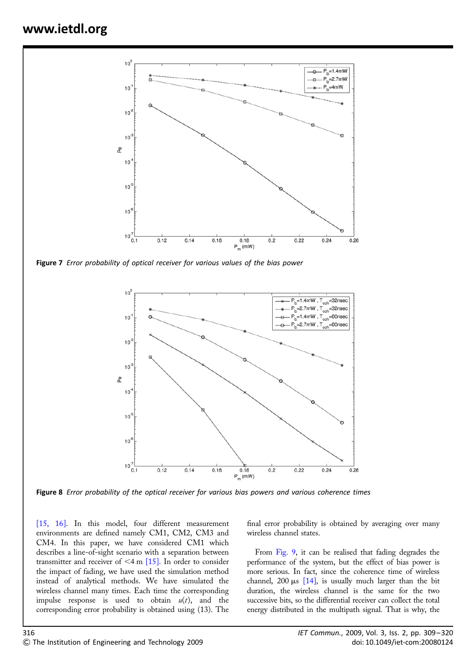

Figure 7 Error probability of optical receiver for various values of the bias power



Figure 8 Error probability of the optical receiver for various bias powers and various coherence times

[15, 16]. In this model, four different measurement environments are defined namely CM1, CM2, CM3 and CM4. In this paper, we have considered CM1 which describes a line-of-sight scenario with a separation between transmitter and receiver of  $\leq$ 4 m [15]. In order to consider the impact of fading, we have used the simulation method instead of analytical methods. We have simulated the wireless channel many times. Each time the corresponding impulse response is used to obtain  $u(t)$ , and the corresponding error probability is obtained using (13). The

final error probability is obtained by averaging over many wireless channel states.

From Fig. 9, it can be realised that fading degrades the performance of the system, but the effect of bias power is more serious. In fact, since the coherence time of wireless channel, 200  $\mu s$  [14], is usually much larger than the bit duration, the wireless channel is the same for the two successive bits, so the differential receiver can collect the total energy distributed in the multipath signal. That is why, the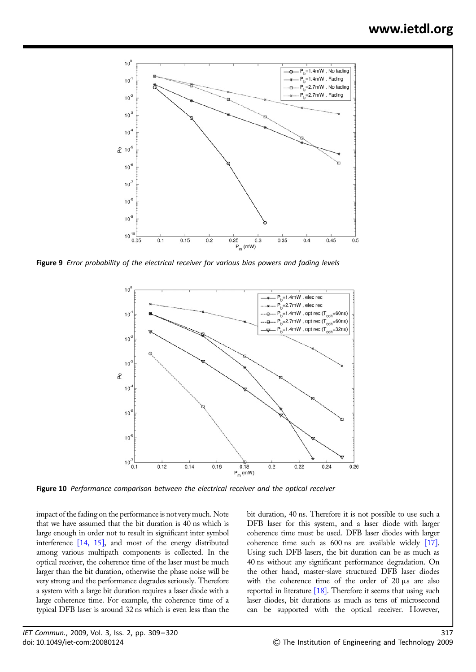

Figure 9 Error probability of the electrical receiver for various bias powers and fading levels



Figure 10 Performance comparison between the electrical receiver and the optical receiver

impact of the fading on the performance is not very much. Note that we have assumed that the bit duration is 40 ns which is large enough in order not to result in significant inter symbol interference [14, 15], and most of the energy distributed among various multipath components is collected. In the optical receiver, the coherence time of the laser must be much larger than the bit duration, otherwise the phase noise will be very strong and the performance degrades seriously. Therefore a system with a large bit duration requires a laser diode with a large coherence time. For example, the coherence time of a typical DFB laser is around 32 ns which is even less than the bit duration, 40 ns. Therefore it is not possible to use such a DFB laser for this system, and a laser diode with larger coherence time must be used. DFB laser diodes with larger coherence time such as 600 ns are available widely [17]. Using such DFB lasers, the bit duration can be as much as 40 ns without any significant performance degradation. On the other hand, master-slave structured DFB laser diodes with the coherence time of the order of  $20 \mu s$  are also reported in literature [18]. Therefore it seems that using such laser diodes, bit durations as much as tens of microsecond can be supported with the optical receiver. However,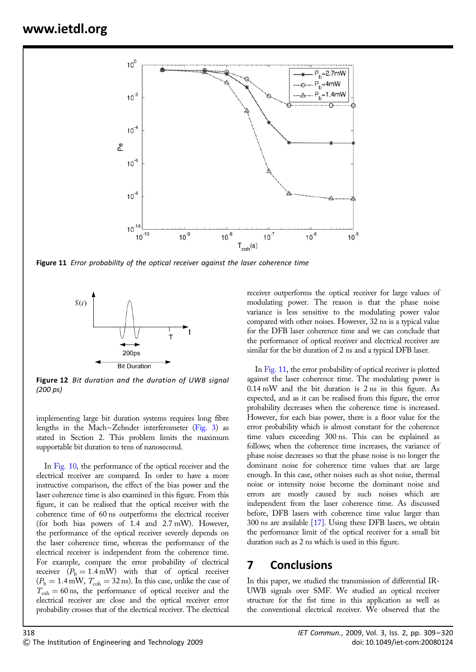

Figure 11 Error probability of the optical receiver against the laser coherence time



Figure 12 Bit duration and the duration of UWB signal (200 ps)

implementing large bit duration systems requires long fibre lengths in the Mach–Zehnder interferometer (Fig. 3) as stated in Section 2. This problem limits the maximum supportable bit duration to tens of nanosecond.

In Fig. 10, the performance of the optical receiver and the electrical receiver are compared. In order to have a more instructive comparison, the effect of the bias power and the laser coherence time is also examined in this figure. From this figure, it can be realised that the optical receiver with the coherence time of 60 ns outperforms the electrical receiver (for both bias powers of 1.4 and 2.7 mW). However, the performance of the optical receiver severely depends on the laser coherence time, whereas the performance of the electrical receiver is independent from the coherence time. For example, compare the error probability of electrical receiver  $(P_b = 1.4 \text{ mW})$  with that of optical receiver  $(P<sub>b</sub> = 1.4$  mW,  $T<sub>coh</sub> = 32$  ns). In this case, unlike the case of  $T_{\text{coh}} = 60 \text{ ns}$ , the performance of optical receiver and the electrical receiver are close and the optical receiver error probability crosses that of the electrical receiver. The electrical

receiver outperforms the optical receiver for large values of modulating power. The reason is that the phase noise variance is less sensitive to the modulating power value compared with other noises. However, 32 ns is a typical value for the DFB laser coherence time and we can conclude that the performance of optical receiver and electrical receiver are similar for the bit duration of 2 ns and a typical DFB laser.

In Fig. 11, the error probability of optical receiver is plotted against the laser coherence time. The modulating power is 0.14 mW and the bit duration is 2 ns in this figure. As expected, and as it can be realised from this figure, the error probability decreases when the coherence time is increased. However, for each bias power, there is a floor value for the error probability which is almost constant for the coherence time values exceeding 300 ns. This can be explained as follows; when the coherence time increases, the variance of phase noise decreases so that the phase noise is no longer the dominant noise for coherence time values that are large enough. In this case, other noises such as shot noise, thermal noise or intensity noise become the dominant noise and errors are mostly caused by such noises which are independent from the laser coherence time. As discussed before, DFB lasers with coherence time value larger than 300 ns are available [17]. Using these DFB lasers, we obtain the performance limit of the optical receiver for a small bit duration such as 2 ns which is used in this figure.

#### 7 Conclusions

In this paper, we studied the transmission of differential IR-UWB signals over SMF. We studied an optical receiver structure for the fist time in this application as well as the conventional electrical receiver. We observed that the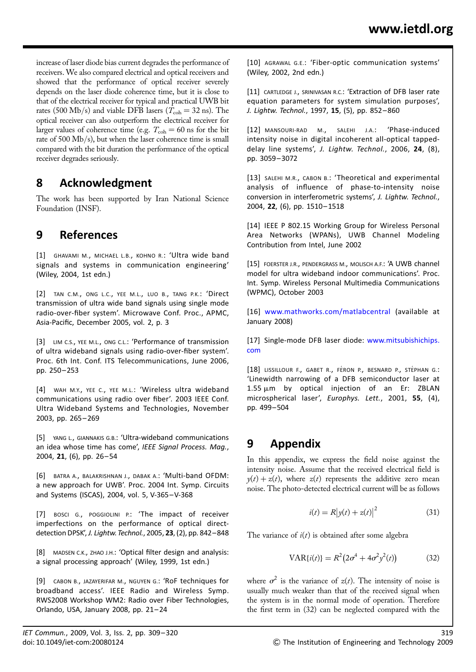increase of laser diode bias current degrades the performance of receivers. We also compared electrical and optical receivers and showed that the performance of optical receiver severely depends on the laser diode coherence time, but it is close to that of the electrical receiver for typical and practical UWB bit rates (500 Mb/s) and viable DFB lasers ( $\overline{T}_{coh} = 32$  ns). The optical receiver can also outperform the electrical receiver for larger values of coherence time (e.g.  $T_{coh} = 60$  ns for the bit rate of 500 Mb/s), but when the laser coherence time is small compared with the bit duration the performance of the optical receiver degrades seriously.

## 8 Acknowledgment

The work has been supported by Iran National Science Foundation (INSF).

# 9 References

[1] GHAVAMI M., MICHAEL L.B., KOHNO R.: 'Ultra wide band signals and systems in communication engineering' (Wiley, 2004, 1st edn.)

[2] TAN C.M., ONG L.C., YEE M.L., LUO B., TANG P.K.: 'Direct transmission of ultra wide band signals using single mode radio-over-fiber system'. Microwave Conf. Proc., APMC, Asia-Pacific, December 2005, vol. 2, p. 3

[3] LIM C.S., YEE M.L., ONG C.L.: 'Performance of transmission of ultra wideband signals using radio-over-fiber system'. Proc. 6th Int. Conf. ITS Telecommunications, June 2006, pp. 250– 253

[4] WAH M.Y., YEE C., YEE M.L.: 'Wireless ultra wideband communications using radio over fiber'. 2003 IEEE Conf. Ultra Wideband Systems and Technologies, November 2003, pp. 265– 269

[5] YANG L., GIANNAKIS G.B.: 'Ultra-wideband communications an idea whose time has come', IEEE Signal Process. Mag., 2004, 21, (6), pp.  $26 - 54$ 

[6] BATRA A., BALAKRISHNAN J., DABAK A.: 'Multi-band OFDM: a new approach for UWB'. Proc. 2004 Int. Symp. Circuits and Systems (ISCAS), 2004, vol. 5, V-365–V-368

[7] BOSCI G., POGGIOLINI P.: 'The impact of receiver imperfections on the performance of optical directdetection DPSK', J. Lightw.Technol., 2005, 23, (2), pp. 842–848

[8] MADSEN C.K., ZHAO J.H.: 'Optical filter design and analysis: a signal processing approach' (Wiley, 1999, 1st edn.)

[9] CABON B., JAZAYERIFAR M., NGUYEN G.: 'RoF techniques for broadband access'. IEEE Radio and Wireless Symp. RWS2008 Workshop WM2: Radio over Fiber Technologies, Orlando, USA, January 2008, pp. 21– 24

[10] AGRAWAL G.E.: 'Fiber-optic communication systems' (Wiley, 2002, 2nd edn.)

[11] CARTLEDGE J., SRINIVASAN R.C.: 'Extraction of DFB laser rate equation parameters for system simulation purposes', J. Lightw. Technol., 1997, 15, (5), pp. 852-860

[12] MANSOURI-RAD M., SALEHI J.A.: 'Phase-induced intensity noise in digital incoherent all-optical tappeddelay line systems', J. Lightw. Technol., 2006, 24, (8), pp. 3059– 3072

[13] SALEHI M.R., CABON B.: 'Theoretical and experimental analysis of influence of phase-to-intensity noise conversion in interferometric systems', J. Lightw. Technol., 2004, 22, (6), pp. 1510-1518

[14] IEEE P 802.15 Working Group for Wireless Personal Area Networks (WPANs), UWB Channel Modeling Contribution from Intel, June 2002

[15] FOERSTER J.R., PENDERGRASS M., MOLISCH A.F.: 'A UWB channel model for ultra wideband indoor communications'. Proc. Int. Symp. Wireless Personal Multimedia Communications (WPMC), October 2003

[16] www.mathworks.com/matlabcentral (available at January 2008)

[17] Single-mode DFB laser diode: www.mitsubishichips. com

[18] LISSILLOUR F., GABET R., FÉRON P., BESNARD P., STÉPHAN G.: 'Linewidth narrowing of a DFB semiconductor laser at  $1.55 \mu m$  by optical injection of an Er: ZBLAN microspherical laser', Europhys. Lett., 2001, 55, (4), pp. 499–504

# 9 Appendix

In this appendix, we express the field noise against the intensity noise. Assume that the received electrical field is  $y(t) + z(t)$ , where  $z(t)$  represents the additive zero mean noise. The photo-detected electrical current will be as follows

$$
i(t) = R|y(t) + z(t)|^2
$$
\n(31)

The variance of  $i(t)$  is obtained after some algebra

$$
VAR{i(t)} = R^{2}(2\sigma^{4} + 4\sigma^{2}y^{2}(t))
$$
 (32)

where  $\sigma^2$  is the variance of  $z(t)$ . The intensity of noise is usually much weaker than that of the received signal when the system is in the normal mode of operation. Therefore the first term in (32) can be neglected compared with the